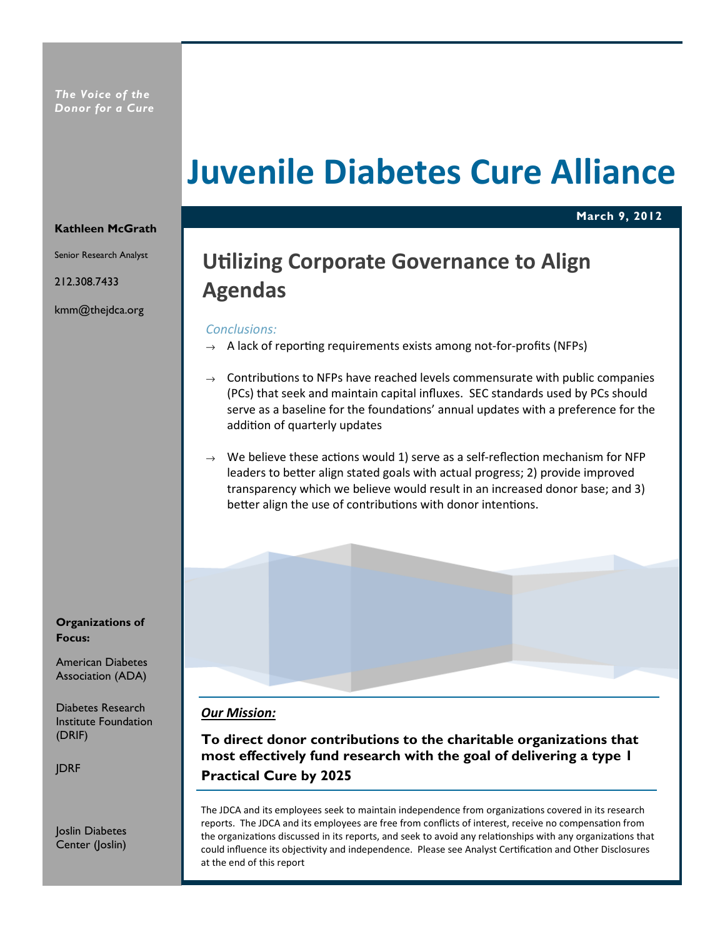# Juvenile Diabetes Cure Alliance

March 9, 2012

#### Kathleen McGrath

Senior Research Analyst

212.308.7433

kmm@thejdca.org

Organizations of Focus:

American Diabetes Association (ADA)

Diabetes Research Institute Foundation (DRIF)

JDRF

Joslin Diabetes Center (Joslin)

# **Utilizing Corporate Governance to Align** Agendas

#### Conclusions:

- $\rightarrow$  A lack of reporting requirements exists among not-for-profits (NFPs)
- $\rightarrow$  Contributions to NFPs have reached levels commensurate with public companies (PCs) that seek and maintain capital influxes. SEC standards used by PCs should serve as a baseline for the foundations' annual updates with a preference for the addition of quarterly updates
- $\rightarrow$  We believe these actions would 1) serve as a self-reflection mechanism for NFP leaders to better align stated goals with actual progress; 2) provide improved transparency which we believe would result in an increased donor base; and 3) better align the use of contributions with donor intentions.

#### Our Mission:

To direct donor contributions to the charitable organizations that most effectively fund research with the goal of delivering a type 1 Practical Cure by 2025

The JDCA and its employees seek to maintain independence from organizations covered in its research reports. The JDCA and its employees are free from conflicts of interest, receive no compensation from the organizations discussed in its reports, and seek to avoid any relationships with any organizations that could influence its objectivity and independence. Please see Analyst Certification and Other Disclosures at the end of this report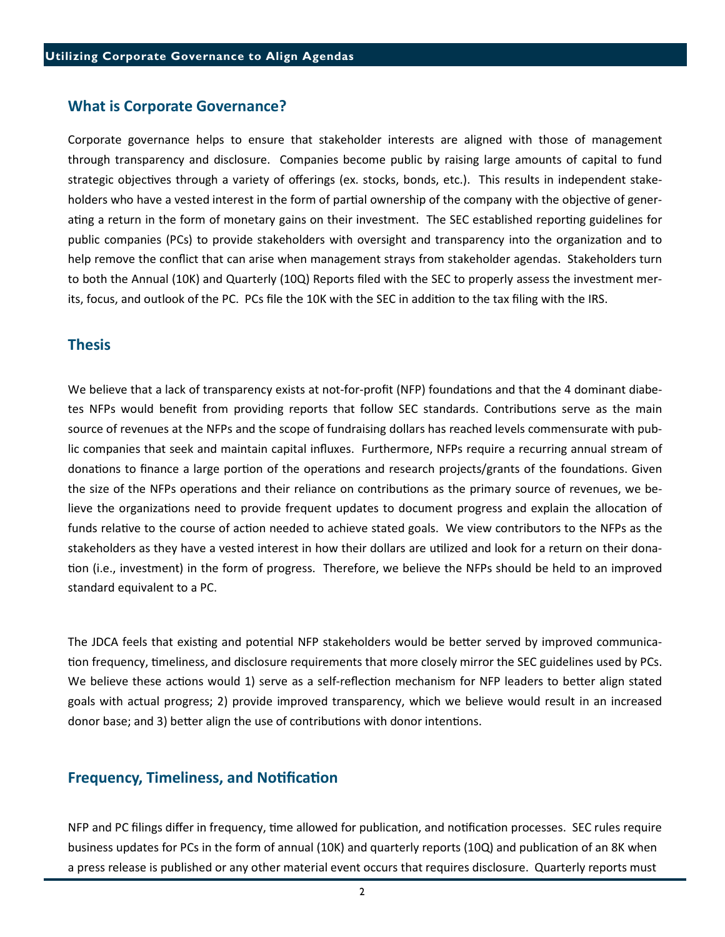#### What is Corporate Governance?

Corporate governance helps to ensure that stakeholder interests are aligned with those of management through transparency and disclosure. Companies become public by raising large amounts of capital to fund strategic objectives through a variety of offerings (ex. stocks, bonds, etc.). This results in independent stakeholders who have a vested interest in the form of partial ownership of the company with the objective of generating a return in the form of monetary gains on their investment. The SEC established reporting guidelines for public companies (PCs) to provide stakeholders with oversight and transparency into the organization and to help remove the conflict that can arise when management strays from stakeholder agendas. Stakeholders turn to both the Annual (10K) and Quarterly (10Q) Reports filed with the SEC to properly assess the investment merits, focus, and outlook of the PC. PCs file the 10K with the SEC in addition to the tax filing with the IRS.

#### Thesis

We believe that a lack of transparency exists at not-for-profit (NFP) foundations and that the 4 dominant diabetes NFPs would benefit from providing reports that follow SEC standards. Contributions serve as the main source of revenues at the NFPs and the scope of fundraising dollars has reached levels commensurate with public companies that seek and maintain capital influxes. Furthermore, NFPs require a recurring annual stream of donations to finance a large portion of the operations and research projects/grants of the foundations. Given the size of the NFPs operations and their reliance on contributions as the primary source of revenues, we believe the organizations need to provide frequent updates to document progress and explain the allocation of funds relative to the course of action needed to achieve stated goals. We view contributors to the NFPs as the stakeholders as they have a vested interest in how their dollars are ulized and look for a return on their dona tion (i.e., investment) in the form of progress. Therefore, we believe the NFPs should be held to an improved standard equivalent to a PC.

The JDCA feels that existing and potential NFP stakeholders would be better served by improved communication frequency, timeliness, and disclosure requirements that more closely mirror the SEC guidelines used by PCs. We believe these actions would 1) serve as a self-reflection mechanism for NFP leaders to better align stated goals with actual progress; 2) provide improved transparency, which we believe would result in an increased donor base; and 3) better align the use of contributions with donor intentions.

### **Frequency, Timeliness, and Notification**

NFP and PC filings differ in frequency, time allowed for publication, and notification processes. SEC rules require business updates for PCs in the form of annual (10K) and quarterly reports (10Q) and publication of an 8K when a press release is published or any other material event occurs that requires disclosure. Quarterly reports must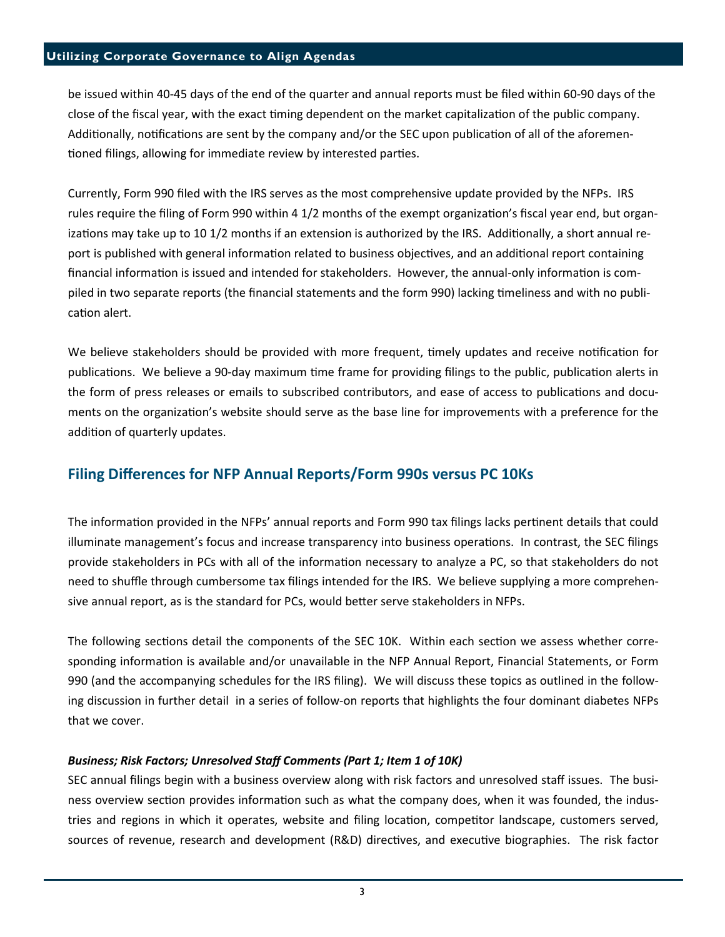#### Utilizing Corporate Governance to Align Agendas

be issued within 40-45 days of the end of the quarter and annual reports must be filed within 60-90 days of the close of the fiscal year, with the exact timing dependent on the market capitalization of the public company. Additionally, notifications are sent by the company and/or the SEC upon publication of all of the aforementioned filings, allowing for immediate review by interested parties.

Currently, Form 990 filed with the IRS serves as the most comprehensive update provided by the NFPs. IRS rules require the filing of Form 990 within 4 1/2 months of the exempt organization's fiscal year end, but organizations may take up to 10 1/2 months if an extension is authorized by the IRS. Additionally, a short annual report is published with general information related to business objectives, and an additional report containing financial information is issued and intended for stakeholders. However, the annual-only information is compiled in two separate reports (the financial statements and the form 990) lacking timeliness and with no publication alert.

We believe stakeholders should be provided with more frequent, timely updates and receive notification for publications. We believe a 90-day maximum time frame for providing filings to the public, publication alerts in the form of press releases or emails to subscribed contributors, and ease of access to publications and documents on the organization's website should serve as the base line for improvements with a preference for the addition of quarterly updates.

# Filing Differences for NFP Annual Reports/Form 990s versus PC 10Ks

The information provided in the NFPs' annual reports and Form 990 tax filings lacks pertinent details that could illuminate management's focus and increase transparency into business operations. In contrast, the SEC filings provide stakeholders in PCs with all of the information necessary to analyze a PC, so that stakeholders do not need to shuffle through cumbersome tax filings intended for the IRS. We believe supplying a more comprehensive annual report, as is the standard for PCs, would better serve stakeholders in NFPs.

The following sections detail the components of the SEC 10K. Within each section we assess whether corresponding information is available and/or unavailable in the NFP Annual Report, Financial Statements, or Form 990 (and the accompanying schedules for the IRS filing). We will discuss these topics as outlined in the following discussion in further detail in a series of follow-on reports that highlights the four dominant diabetes NFPs that we cover.

#### Business; Risk Factors; Unresolved Staff Comments (Part 1; Item 1 of 10K)

SEC annual filings begin with a business overview along with risk factors and unresolved staff issues. The business overview section provides information such as what the company does, when it was founded, the industries and regions in which it operates, website and filing location, competitor landscape, customers served, sources of revenue, research and development (R&D) directives, and executive biographies. The risk factor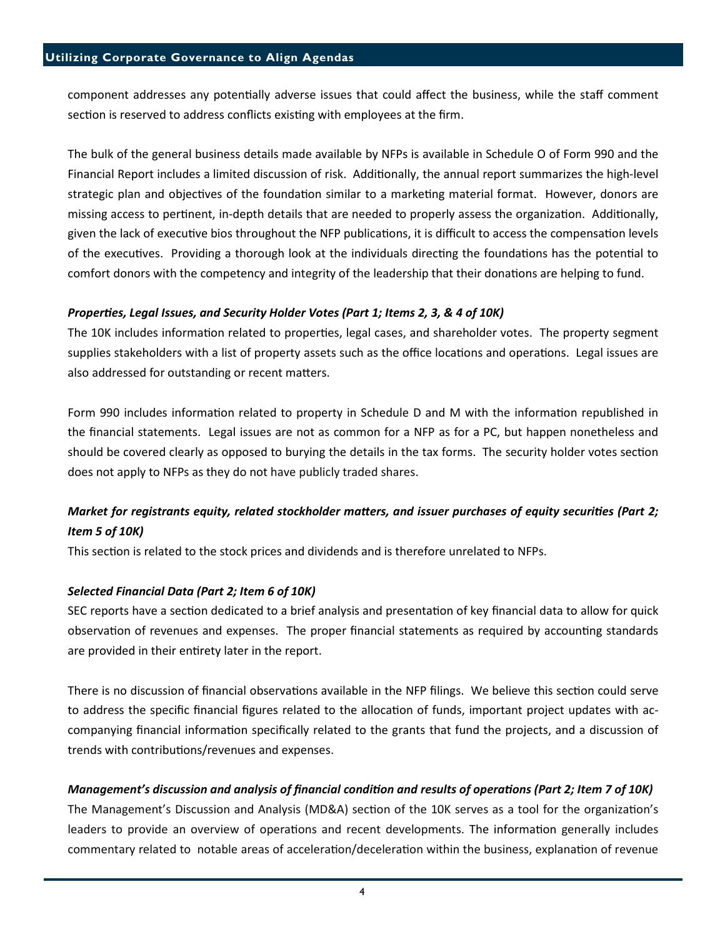component addresses any potentially adverse issues that could affect the business, while the staff comment section is reserved to address conflicts existing with employees at the firm.

The bulk of the general business details made available by NFPs is available in Schedule O of Form 990 and the Financial Report includes a limited discussion of risk. Addionally, the annual report summarizes the high-level strategic plan and objectives of the foundation similar to a marketing material format. However, donors are missing access to pertinent, in-depth details that are needed to properly assess the organization. Additionally, given the lack of executive bios throughout the NFP publications, it is difficult to access the compensation levels of the executives. Providing a thorough look at the individuals directing the foundations has the potential to comfort donors with the competency and integrity of the leadership that their donations are helping to fund.

#### Properties, Legal Issues, and Security Holder Votes (Part 1; Items 2, 3, & 4 of 10K)

The 10K includes information related to properties, legal cases, and shareholder votes. The property segment supplies stakeholders with a list of property assets such as the office locations and operations. Legal issues are also addressed for outstanding or recent matters.

Form 990 includes information related to property in Schedule D and M with the information republished in the financial statements. Legal issues are not as common for a NFP as for a PC, but happen nonetheless and should be covered clearly as opposed to burying the details in the tax forms. The security holder votes section does not apply to NFPs as they do not have publicly traded shares.

# Market for registrants equity, related stockholder matters, and issuer purchases of equity securities (Part 2; Item 5 of 10K)

This section is related to the stock prices and dividends and is therefore unrelated to NFPs.

#### Selected Financial Data (Part 2; Item 6 of 10K)

SEC reports have a section dedicated to a brief analysis and presentation of key financial data to allow for quick observation of revenues and expenses. The proper financial statements as required by accounting standards are provided in their entirety later in the report.

There is no discussion of financial observations available in the NFP filings. We believe this section could serve to address the specific financial figures related to the allocation of funds, important project updates with accompanying financial information specifically related to the grants that fund the projects, and a discussion of trends with contributions/revenues and expenses.

#### Management's discussion and analysis of financial condition and results of operations (Part 2; Item 7 of 10K)

The Management's Discussion and Analysis (MD&A) section of the 10K serves as a tool for the organization's leaders to provide an overview of operations and recent developments. The information generally includes commentary related to notable areas of acceleration/deceleration within the business, explanation of revenue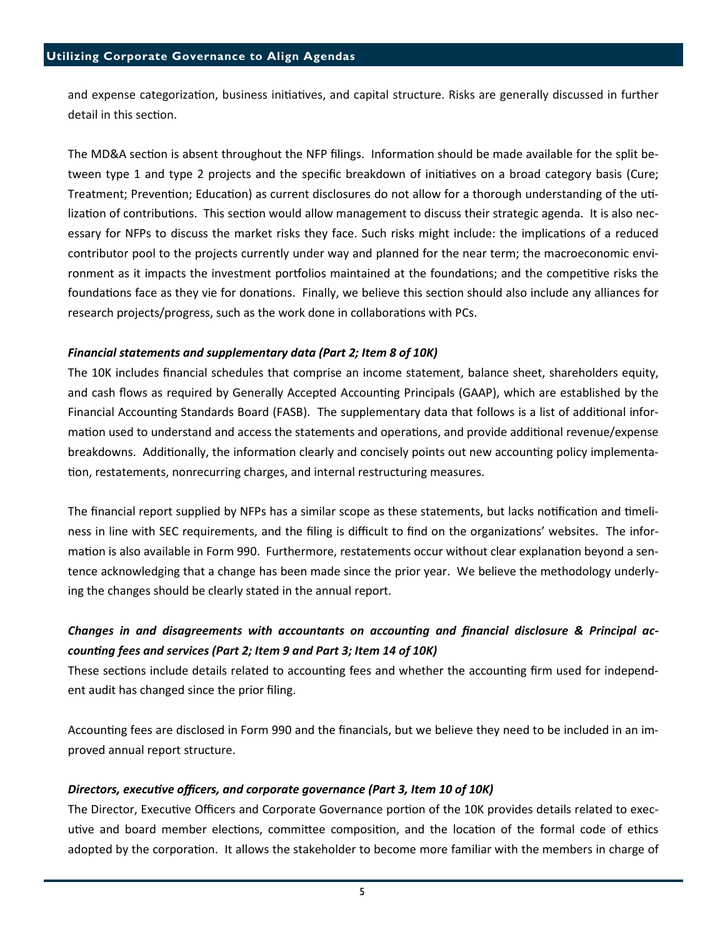and expense categorization, business initiatives, and capital structure. Risks are generally discussed in further detail in this section.

The MD&A section is absent throughout the NFP filings. Information should be made available for the split between type 1 and type 2 projects and the specific breakdown of initiatives on a broad category basis (Cure; Treatment; Prevention; Education) as current disclosures do not allow for a thorough understanding of the utilization of contributions. This section would allow management to discuss their strategic agenda. It is also necessary for NFPs to discuss the market risks they face. Such risks might include: the implications of a reduced contributor pool to the projects currently under way and planned for the near term; the macroeconomic environment as it impacts the investment portfolios maintained at the foundations; and the competitive risks the foundations face as they vie for donations. Finally, we believe this section should also include any alliances for research projects/progress, such as the work done in collaborations with PCs.

#### Financial statements and supplementary data (Part 2; Item 8 of 10K)

The 10K includes financial schedules that comprise an income statement, balance sheet, shareholders equity, and cash flows as required by Generally Accepted Accounting Principals (GAAP), which are established by the Financial Accounting Standards Board (FASB). The supplementary data that follows is a list of additional information used to understand and access the statements and operations, and provide additional revenue/expense breakdowns. Additionally, the information clearly and concisely points out new accounting policy implementation, restatements, nonrecurring charges, and internal restructuring measures.

The financial report supplied by NFPs has a similar scope as these statements, but lacks notification and timeliness in line with SEC requirements, and the filing is difficult to find on the organizations' websites. The information is also available in Form 990. Furthermore, restatements occur without clear explanation beyond a sentence acknowledging that a change has been made since the prior year. We believe the methodology underlying the changes should be clearly stated in the annual report.

# Changes in and disagreements with accountants on accounting and financial disclosure & Principal accounting fees and services (Part 2; Item 9 and Part 3; Item 14 of 10K)

These sections include details related to accounting fees and whether the accounting firm used for independent audit has changed since the prior filing.

Accounting fees are disclosed in Form 990 and the financials, but we believe they need to be included in an improved annual report structure.

#### Directors, executive officers, and corporate governance (Part 3, Item 10 of 10K)

The Director, Executive Officers and Corporate Governance portion of the 10K provides details related to executive and board member elections, committee composition, and the location of the formal code of ethics adopted by the corporation. It allows the stakeholder to become more familiar with the members in charge of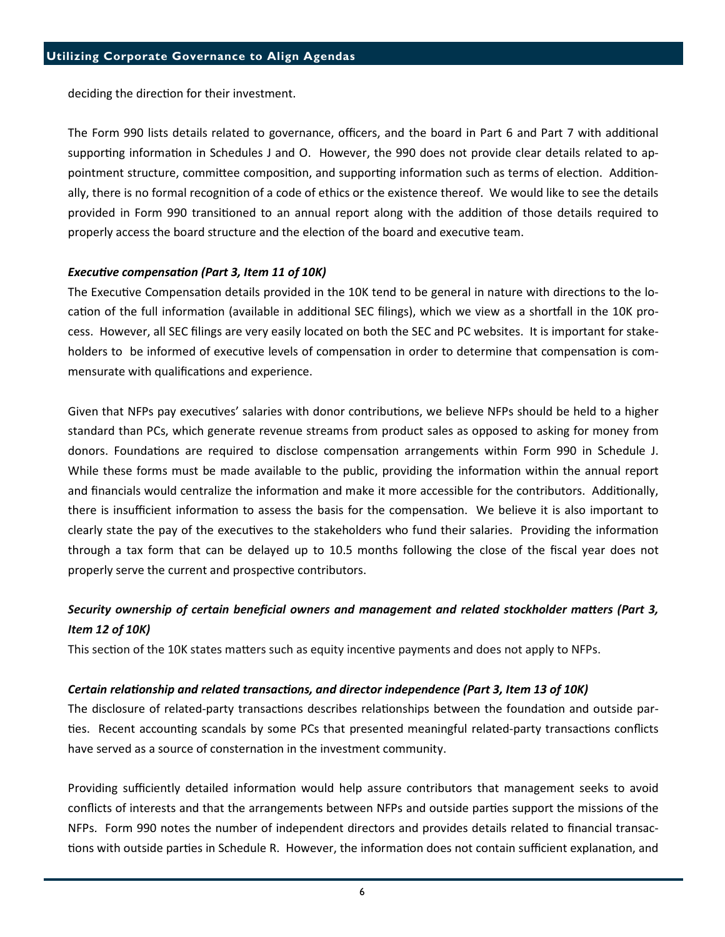deciding the direction for their investment.

The Form 990 lists details related to governance, officers, and the board in Part 6 and Part 7 with additional supporting information in Schedules J and O. However, the 990 does not provide clear details related to appointment structure, committee composition, and supporting information such as terms of election. Additionally, there is no formal recognion of a code of ethics or the existence thereof. We would like to see the details provided in Form 990 transitioned to an annual report along with the addition of those details required to properly access the board structure and the election of the board and executive team.

#### Executive compensation (Part 3, Item 11 of 10K)

The Executive Compensation details provided in the 10K tend to be general in nature with directions to the location of the full information (available in additional SEC filings), which we view as a shortfall in the 10K process. However, all SEC filings are very easily located on both the SEC and PC websites. It is important for stakeholders to be informed of executive levels of compensation in order to determine that compensation is commensurate with qualifications and experience.

Given that NFPs pay executives' salaries with donor contributions, we believe NFPs should be held to a higher standard than PCs, which generate revenue streams from product sales as opposed to asking for money from donors. Foundations are required to disclose compensation arrangements within Form 990 in Schedule J. While these forms must be made available to the public, providing the information within the annual report and financials would centralize the information and make it more accessible for the contributors. Additionally, there is insufficient information to assess the basis for the compensation. We believe it is also important to clearly state the pay of the executives to the stakeholders who fund their salaries. Providing the information through a tax form that can be delayed up to 10.5 months following the close of the fiscal year does not properly serve the current and prospective contributors.

# Security ownership of certain beneficial owners and management and related stockholder matters (Part 3, Item 12 of 10K)

This section of the 10K states matters such as equity incentive payments and does not apply to NFPs.

#### Certain relationship and related transactions, and director independence (Part 3, Item 13 of 10K)

The disclosure of related-party transactions describes relationships between the foundation and outside parties. Recent accounting scandals by some PCs that presented meaningful related-party transactions conflicts have served as a source of consternation in the investment community.

Providing sufficiently detailed information would help assure contributors that management seeks to avoid conflicts of interests and that the arrangements between NFPs and outside parties support the missions of the NFPs. Form 990 notes the number of independent directors and provides details related to financial transac tions with outside parties in Schedule R. However, the information does not contain sufficient explanation, and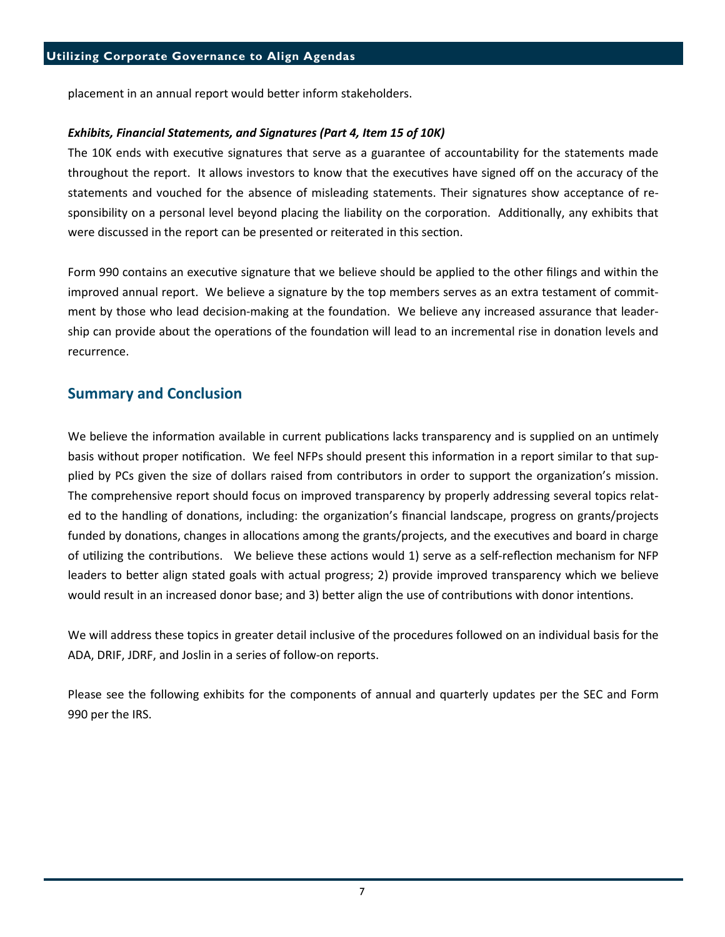placement in an annual report would better inform stakeholders.

#### Exhibits, Financial Statements, and Signatures (Part 4, Item 15 of 10K)

The 10K ends with executive signatures that serve as a guarantee of accountability for the statements made throughout the report. It allows investors to know that the executives have signed off on the accuracy of the statements and vouched for the absence of misleading statements. Their signatures show acceptance of responsibility on a personal level beyond placing the liability on the corporation. Additionally, any exhibits that were discussed in the report can be presented or reiterated in this section.

Form 990 contains an executive signature that we believe should be applied to the other filings and within the improved annual report. We believe a signature by the top members serves as an extra testament of commitment by those who lead decision-making at the foundation. We believe any increased assurance that leadership can provide about the operations of the foundation will lead to an incremental rise in donation levels and recurrence.

## Summary and Conclusion

We believe the information available in current publications lacks transparency and is supplied on an untimely basis without proper notification. We feel NFPs should present this information in a report similar to that supplied by PCs given the size of dollars raised from contributors in order to support the organization's mission. The comprehensive report should focus on improved transparency by properly addressing several topics related to the handling of donations, including: the organization's financial landscape, progress on grants/projects funded by donations, changes in allocations among the grants/projects, and the executives and board in charge of utilizing the contributions. We believe these actions would 1) serve as a self-reflection mechanism for NFP leaders to better align stated goals with actual progress; 2) provide improved transparency which we believe would result in an increased donor base; and 3) better align the use of contributions with donor intentions.

We will address these topics in greater detail inclusive of the procedures followed on an individual basis for the ADA, DRIF, JDRF, and Joslin in a series of follow-on reports.

Please see the following exhibits for the components of annual and quarterly updates per the SEC and Form 990 per the IRS.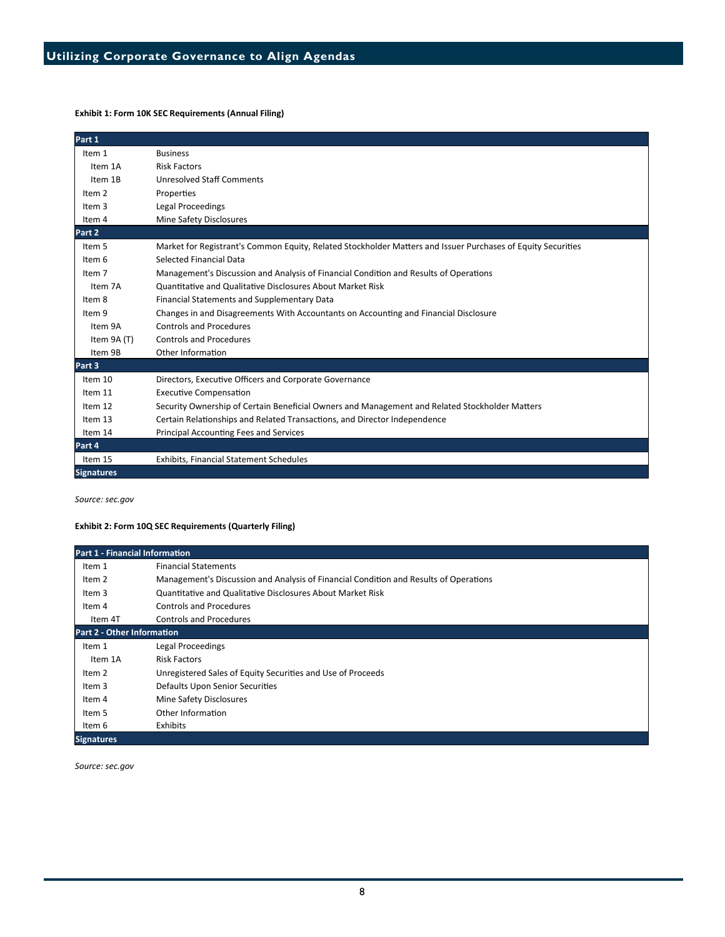#### Exhibit 1: Form 10K SEC Requirements (Annual Filing)

| Part 1            |                                                                                                              |
|-------------------|--------------------------------------------------------------------------------------------------------------|
| Item 1            | <b>Business</b>                                                                                              |
| Item 1A           | <b>Risk Factors</b>                                                                                          |
| Item 1B           | <b>Unresolved Staff Comments</b>                                                                             |
| Item <sub>2</sub> | Properties                                                                                                   |
| Item 3            | Legal Proceedings                                                                                            |
| Item 4            | Mine Safety Disclosures                                                                                      |
| Part 2            |                                                                                                              |
| Item 5            | Market for Registrant's Common Equity, Related Stockholder Matters and Issuer Purchases of Equity Securities |
| Item 6            | Selected Financial Data                                                                                      |
| Item <sub>7</sub> | Management's Discussion and Analysis of Financial Condition and Results of Operations                        |
| Item 7A           | <b>Quantitative and Qualitative Disclosures About Market Risk</b>                                            |
| Item 8            | <b>Financial Statements and Supplementary Data</b>                                                           |
| Item 9            | Changes in and Disagreements With Accountants on Accounting and Financial Disclosure                         |
| Item 9A           | <b>Controls and Procedures</b>                                                                               |
| Item 9A (T)       | <b>Controls and Procedures</b>                                                                               |
| Item 9B           | Other Information                                                                                            |
| Part 3            |                                                                                                              |
| Item 10           | Directors, Executive Officers and Corporate Governance                                                       |
| Item 11           | <b>Executive Compensation</b>                                                                                |
| Item 12           | Security Ownership of Certain Beneficial Owners and Management and Related Stockholder Matters               |
| Item 13           | Certain Relationships and Related Transactions, and Director Independence                                    |
| Item 14           | <b>Principal Accounting Fees and Services</b>                                                                |
| Part 4            |                                                                                                              |
| Item 15           | <b>Exhibits, Financial Statement Schedules</b>                                                               |
| <b>Signatures</b> |                                                                                                              |

Source: sec.gov

#### Exhibit 2: Form 10Q SEC Requirements (Quarterly Filing)

| <b>Part 1 - Financial Information</b> |                                                                                       |  |
|---------------------------------------|---------------------------------------------------------------------------------------|--|
| Item 1                                | <b>Financial Statements</b>                                                           |  |
| Item 2                                | Management's Discussion and Analysis of Financial Condition and Results of Operations |  |
| Item 3                                | Quantitative and Qualitative Disclosures About Market Risk                            |  |
| Item 4                                | <b>Controls and Procedures</b>                                                        |  |
| Item 4T                               | Controls and Procedures                                                               |  |
| <b>Part 2 - Other Information</b>     |                                                                                       |  |
| Item 1                                | Legal Proceedings                                                                     |  |
| Item 1A                               | <b>Risk Factors</b>                                                                   |  |
| Item 2                                | Unregistered Sales of Equity Securities and Use of Proceeds                           |  |
| Item 3                                | Defaults Upon Senior Securities                                                       |  |
| Item 4                                | Mine Safety Disclosures                                                               |  |
| Item 5                                | Other Information                                                                     |  |
| Item 6                                | Exhibits                                                                              |  |
| <b>Signatures</b>                     |                                                                                       |  |

Source: sec.gov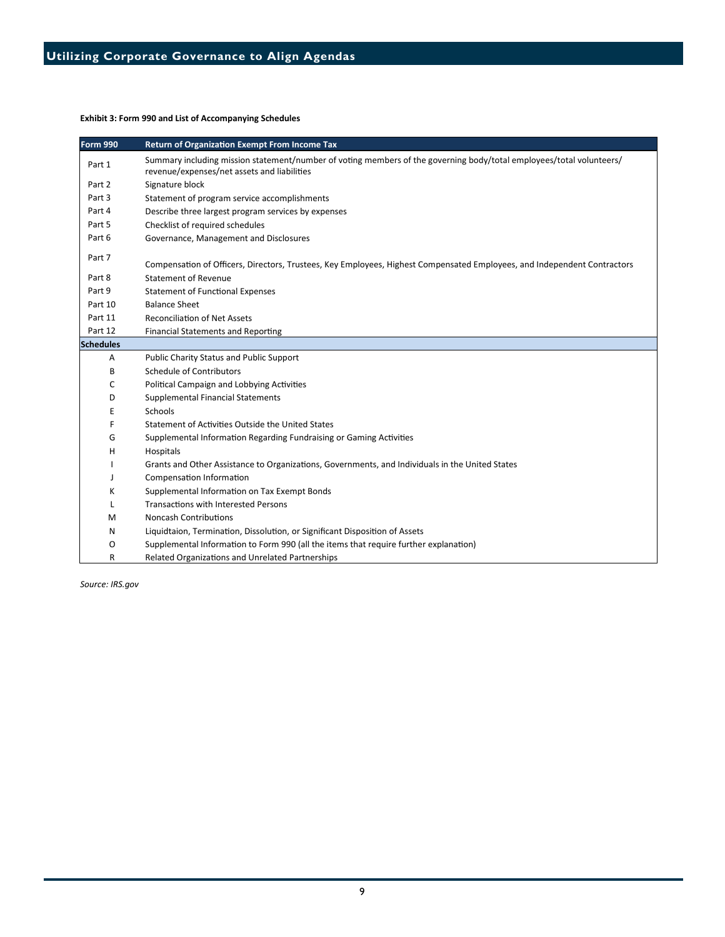Exhibit 3: Form 990 and List of Accompanying Schedules

| <b>Form 990</b>  | <b>Return of Organization Exempt From Income Tax</b>                                                                                                                |
|------------------|---------------------------------------------------------------------------------------------------------------------------------------------------------------------|
| Part 1           | Summary including mission statement/number of voting members of the governing body/total employees/total volunteers/<br>revenue/expenses/net assets and liabilities |
| Part 2           | Signature block                                                                                                                                                     |
| Part 3           | Statement of program service accomplishments                                                                                                                        |
| Part 4           | Describe three largest program services by expenses                                                                                                                 |
| Part 5           | Checklist of required schedules                                                                                                                                     |
| Part 6           | Governance, Management and Disclosures                                                                                                                              |
| Part 7           | Compensation of Officers, Directors, Trustees, Key Employees, Highest Compensated Employees, and Independent Contractors                                            |
| Part 8           | <b>Statement of Revenue</b>                                                                                                                                         |
| Part 9           | <b>Statement of Functional Expenses</b>                                                                                                                             |
| Part 10          | <b>Balance Sheet</b>                                                                                                                                                |
| Part 11          | <b>Reconciliation of Net Assets</b>                                                                                                                                 |
| Part 12          | <b>Financial Statements and Reporting</b>                                                                                                                           |
| <b>Schedules</b> |                                                                                                                                                                     |
| A                | Public Charity Status and Public Support                                                                                                                            |
| B                | <b>Schedule of Contributors</b>                                                                                                                                     |
| c                | Political Campaign and Lobbying Activities                                                                                                                          |
| D                | <b>Supplemental Financial Statements</b>                                                                                                                            |
| Ε                | Schools                                                                                                                                                             |
| F                | Statement of Activities Outside the United States                                                                                                                   |
| G                | Supplemental Information Regarding Fundraising or Gaming Activities                                                                                                 |
| Н                | Hospitals                                                                                                                                                           |
|                  | Grants and Other Assistance to Organizations, Governments, and Individuals in the United States                                                                     |
|                  | Compensation Information                                                                                                                                            |
| κ                | Supplemental Information on Tax Exempt Bonds                                                                                                                        |
| L                | <b>Transactions with Interested Persons</b>                                                                                                                         |
| м                | <b>Noncash Contributions</b>                                                                                                                                        |
| N                | Liquidtaion, Termination, Dissolution, or Significant Disposition of Assets                                                                                         |
| O                | Supplemental Information to Form 990 (all the items that require further explanation)                                                                               |
| R                | Related Organizations and Unrelated Partnerships                                                                                                                    |

Source: IRS.gov